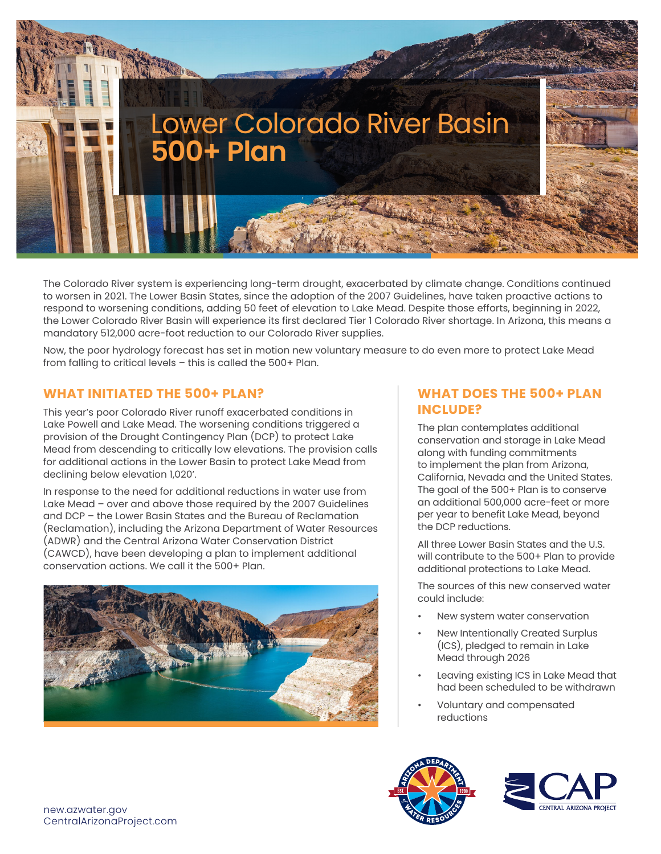

The Colorado River system is experiencing long-term drought, exacerbated by climate change. Conditions continued to worsen in 2021. The Lower Basin States, since the adoption of the 2007 Guidelines, have taken proactive actions to respond to worsening conditions, adding 50 feet of elevation to Lake Mead. Despite those efforts, beginning in 2022, the Lower Colorado River Basin will experience its first declared Tier 1 Colorado River shortage. In Arizona, this means a mandatory 512,000 acre-foot reduction to our Colorado River supplies.

Now, the poor hydrology forecast has set in motion new voluntary measure to do even more to protect Lake Mead from falling to critical levels – this is called the 500+ Plan.

### **WHAT INITIATED THE 500+ PLAN?**

This year's poor Colorado River runoff exacerbated conditions in Lake Powell and Lake Mead. The worsening conditions triggered a provision of the Drought Contingency Plan (DCP) to protect Lake Mead from descending to critically low elevations. The provision calls for additional actions in the Lower Basin to protect Lake Mead from declining below elevation 1,020'.

In response to the need for additional reductions in water use from Lake Mead – over and above those required by the 2007 Guidelines and DCP – the Lower Basin States and the Bureau of Reclamation (Reclamation), including the Arizona Department of Water Resources (ADWR) and the Central Arizona Water Conservation District (CAWCD), have been developing a plan to implement additional conservation actions. We call it the 500+ Plan.



#### **WHAT DOES THE 500+ PLAN INCLUDE?**

The plan contemplates additional conservation and storage in Lake Mead along with funding commitments to implement the plan from Arizona, California, Nevada and the United States. The goal of the 500+ Plan is to conserve an additional 500,000 acre-feet or more per year to benefit Lake Mead, beyond the DCP reductions.

All three Lower Basin States and the U.S. will contribute to the 500+ Plan to provide additional protections to Lake Mead.

The sources of this new conserved water could include:

- New system water conservation
- New Intentionally Created Surplus (ICS), pledged to remain in Lake Mead through 2026
- Leaving existing ICS in Lake Mead that had been scheduled to be withdrawn
- Voluntary and compensated reductions